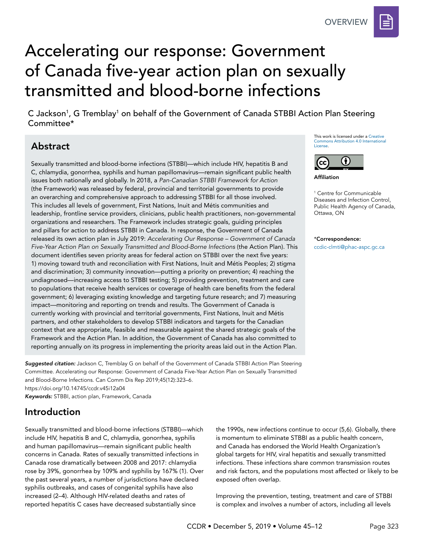**OVERVIEW** 



# Accelerating our response: Government of Canada five-year action plan on sexually transmitted and blood-borne infections

C Jackson<sup>1</sup>, G Tremblay<sup>1</sup> on behalf of the Government of Canada STBBI Action Plan Steering Committee\*

# Abstract

Sexually transmitted and blood-borne infections (STBBI)—which include HIV, hepatitis B and C, chlamydia, gonorrhea, syphilis and human papillomavirus—remain significant public health issues both nationally and globally. In 2018, a *Pan-Canadian STBBI Framework for Action*  (the Framework) was released by federal, provincial and territorial governments to provide an overarching and comprehensive approach to addressing STBBI for all those involved. This includes all levels of government, First Nations, Inuit and Métis communities and leadership, frontline service providers, clinicians, public health practitioners, non-governmental organizations and researchers. The Framework includes strategic goals, guiding principles and pillars for action to address STBBI in Canada. In response, the Government of Canada released its own action plan in July 2019: *Accelerating Our Response – Government of Canada Five-Year Action Plan on Sexually Transmitted and Blood-Borne Infections* (the Action Plan). This document identifies seven priority areas for federal action on STBBI over the next five years: 1) moving toward truth and reconciliation with First Nations, Inuit and Métis Peoples; 2) stigma and discrimination; 3) community innovation—putting a priority on prevention; 4) reaching the undiagnosed—increasing access to STBBI testing; 5) providing prevention, treatment and care to populations that receive health services or coverage of health care benefits from the federal government; 6) leveraging existing knowledge and targeting future research; and 7) measuring impact—monitoring and reporting on trends and results. The Government of Canada is currently working with provincial and territorial governments, First Nations, Inuit and Métis partners, and other stakeholders to develop STBBI indicators and targets for the Canadian context that are appropriate, feasible and measurable against the shared strategic goals of the Framework and the Action Plan. In addition, the Government of Canada has also committed to reporting annually on its progress in implementing the priority areas laid out in the Action Plan.

*Suggested citation:* Jackson C, Tremblay G on behalf of the Government of Canada STBBI Action Plan Steering Committee. Accelerating our Response: Government of Canada Five-Year Action Plan on Sexually Transmitted and Blood-Borne Infections. Can Comm Dis Rep 2019;45(12):323–6. https://doi.org/10.14745/ccdr.v45i12a04 *Keywords:* STBBI, action plan, Framework, Canada

## Introduction

Sexually transmitted and blood-borne infections (STBBI)—which include HIV, hepatitis B and C, chlamydia, gonorrhea, syphilis and human papillomavirus—remain significant public health concerns in Canada. Rates of sexually transmitted infections in Canada rose dramatically between 2008 and 2017: chlamydia rose by 39%, gonorrhea by 109% and syphilis by 167% (1). Over the past several years, a number of jurisdictions have declared syphilis outbreaks, and cases of congenital syphilis have also increased (2–4). Although HIV-related deaths and rates of reported hepatitis C cases have decreased substantially since

the 1990s, new infections continue to occur (5,6). Globally, there is momentum to eliminate STBBI as a public health concern, and Canada has endorsed the World Health Organization's global targets for HIV, viral hepatitis and sexually transmitted infections. These infections share common transmission routes and risk factors, and the populations most affected or likely to be exposed often overlap.

Improving the prevention, testing, treatment and care of STBBI is complex and involves a number of actors, including all levels

This work is licensed under a [Creative](https://creativecommons.org/licenses/by/4.0/)  [Commons Attribution 4.0 International](https://creativecommons.org/licenses/by/4.0/)  [License](https://creativecommons.org/licenses/by/4.0/).



Affiliation

1 Centre for Communicable Diseases and Infection Control, Public Health Agency of Canada, Ottawa, ON

\*Correspondence: [ccdic-clmti@phac-aspc.gc.ca](mailto:ccdic-clmti%40phac-aspc.gc.ca?subject=)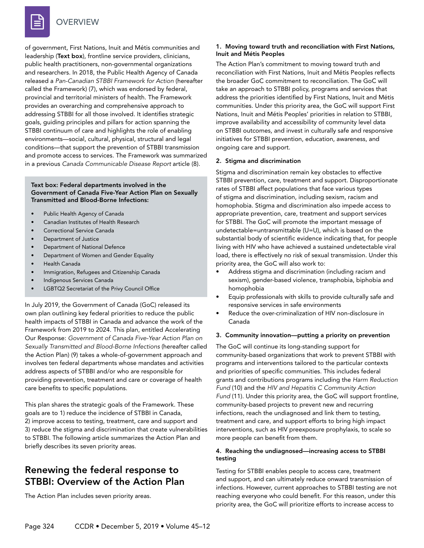

**OVERVIEW** 

of government, First Nations, Inuit and Métis communities and leadership (Text box), frontline service providers, clinicians, public health practitioners, non-governmental organizations and researchers. In 2018, the Public Health Agency of Canada released a *Pan-Canadian STBBI Framework for Action* (hereafter called the Framework) (7), which was endorsed by federal, provincial and territorial ministers of health. The Framework provides an overarching and comprehensive approach to addressing STBBI for all those involved. It identifies strategic goals, guiding principles and pillars for action spanning the STBBI continuum of care and highlights the role of enabling environments—social, cultural, physical, structural and legal conditions—that support the prevention of STBBI transmission and promote access to services. The Framework was summarized in a previous *Canada Communicable Disease Report* article (8).

#### Text box: Federal departments involved in the Government of Canada Five-Year Action Plan on Sexually Transmitted and Blood-Borne Infections:

- Public Health Agency of Canada
- Canadian Institutes of Health Research
- Correctional Service Canada
- Department of Justice
- Department of National Defence
- Department of Women and Gender Equality
- Health Canada
- Immigration, Refugees and Citizenship Canada
- Indigenous Services Canada
- LGBTQ2 Secretariat of the Privy Council Office

In July 2019, the Government of Canada (GoC) released its own plan outlining key federal priorities to reduce the public health impacts of STBBI in Canada and advance the work of the Framework from 2019 to 2024. This plan, entitled Accelerating Our Response: *Government of Canada Five-Year Action Plan on Sexually Transmitted and Blood-Borne Infections* (hereafter called the Action Plan) (9) takes a whole-of-government approach and involves ten federal departments whose mandates and activities address aspects of STBBI and/or who are responsible for providing prevention, treatment and care or coverage of health care benefits to specific populations.

This plan shares the strategic goals of the Framework. These goals are to 1) reduce the incidence of STBBI in Canada, 2) improve access to testing, treatment, care and support and 3) reduce the stigma and discrimination that create vulnerabilities to STBBI. The following article summarizes the Action Plan and briefly describes its seven priority areas.

### Renewing the federal response to STBBI: Overview of the Action Plan

The Action Plan includes seven priority areas.

#### 1. Moving toward truth and reconciliation with First Nations, Inuit and Métis Peoples

The Action Plan's commitment to moving toward truth and reconciliation with First Nations, Inuit and Métis Peoples reflects the broader GoC commitment to reconciliation. The GoC will take an approach to STBBI policy, programs and services that address the priorities identified by First Nations, Inuit and Métis communities. Under this priority area, the GoC will support First Nations, Inuit and Métis Peoples' priorities in relation to STBBI, improve availability and accessibility of community level data on STBBI outcomes, and invest in culturally safe and responsive initiatives for STBBI prevention, education, awareness, and ongoing care and support.

#### 2. Stigma and discrimination

Stigma and discrimination remain key obstacles to effective STBBI prevention, care, treatment and support. Disproportionate rates of STBBI affect populations that face various types of stigma and discrimination, including sexism, racism and homophobia. Stigma and discrimination also impede access to appropriate prevention, care, treatment and support services for STBBI. The GoC will promote the important message of undetectable=untransmittable (U=U), which is based on the substantial body of scientific evidence indicating that, for people living with HIV who have achieved a sustained undetectable viral load, there is effectively no risk of sexual transmission. Under this priority area, the GoC will also work to:

- Address stigma and discrimination (including racism and sexism), gender-based violence, transphobia, biphobia and homophobia
- Equip professionals with skills to provide culturally safe and responsive services in safe environments
- Reduce the over-criminalization of HIV non-disclosure in Canada

#### 3. Community innovation—putting a priority on prevention

The GoC will continue its long-standing support for community-based organizations that work to prevent STBBI with programs and interventions tailored to the particular contexts and priorities of specific communities. This includes federal grants and contributions programs including the *Harm Reduction Fund* (10) and the *HIV and Hepatitis C Community Action Fund* (11). Under this priority area, the GoC will support frontline, community-based projects to prevent new and recurring infections, reach the undiagnosed and link them to testing, treatment and care, and support efforts to bring high impact interventions, such as HIV preexposure prophylaxis, to scale so more people can benefit from them.

#### 4. Reaching the undiagnosed—increasing access to STBBI testing

Testing for STBBI enables people to access care, treatment and support, and can ultimately reduce onward transmission of infections. However, current approaches to STBBI testing are not reaching everyone who could benefit. For this reason, under this priority area, the GoC will prioritize efforts to increase access to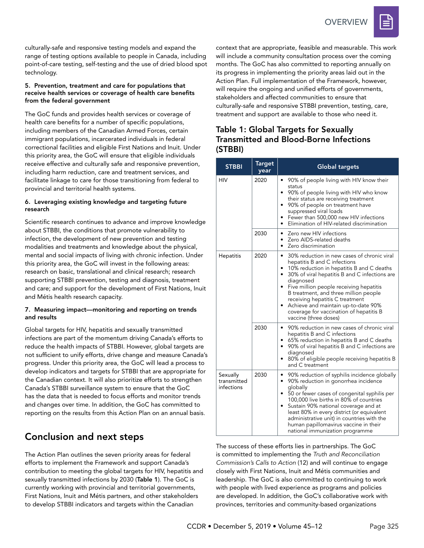

culturally-safe and responsive testing models and expand the range of testing options available to people in Canada, including point-of-care testing, self-testing and the use of dried blood spot technology.

#### 5. Prevention, treatment and care for populations that receive health services or coverage of health care benefits from the federal government

The GoC funds and provides health services or coverage of health care benefits for a number of specific populations, including members of the Canadian Armed Forces, certain immigrant populations, incarcerated individuals in federal correctional facilities and eligible First Nations and Inuit. Under this priority area, the GoC will ensure that eligible individuals receive effective and culturally safe and responsive prevention, including harm reduction, care and treatment services, and facilitate linkage to care for those transitioning from federal to provincial and territorial health systems.

#### 6. Leveraging existing knowledge and targeting future research

Scientific research continues to advance and improve knowledge about STBBI, the conditions that promote vulnerability to infection, the development of new prevention and testing modalities and treatments and knowledge about the physical, mental and social impacts of living with chronic infection. Under this priority area, the GoC will invest in the following areas: research on basic, translational and clinical research; research supporting STBBI prevention, testing and diagnosis, treatment and care; and support for the development of First Nations, Inuit and Métis health research capacity.

#### 7. Measuring impact—monitoring and reporting on trends and results

Global targets for HIV, hepatitis and sexually transmitted infections are part of the momentum driving Canada's efforts to reduce the health impacts of STBBI. However, global targets are not sufficient to unify efforts, drive change and measure Canada's progress. Under this priority area, the GoC will lead a process to develop indicators and targets for STBBI that are appropriate for the Canadian context. It will also prioritize efforts to strengthen Canada's STBBI surveillance system to ensure that the GoC has the data that is needed to focus efforts and monitor trends and changes over time. In addition, the GoC has committed to reporting on the results from this Action Plan on an annual basis*.* 

## Conclusion and next steps

The Action Plan outlines the seven priority areas for federal efforts to implement the Framework and support Canada's contribution to meeting the global targets for HIV, hepatitis and sexually transmitted infections by 2030 (Table 1). The GoC is currently working with provincial and territorial governments, First Nations, Inuit and Métis partners, and other stakeholders to develop STBBI indicators and targets within the Canadian

context that are appropriate, feasible and measurable. This work will include a community consultation process over the coming months. The GoC has also committed to reporting annually on its progress in implementing the priority areas laid out in the Action Plan. Full implementation of the Framework, however, will require the ongoing and unified efforts of governments, stakeholders and affected communities to ensure that culturally-safe and responsive STBBI prevention, testing, care, treatment and support are available to those who need it.

### Table 1: Global Targets for Sexually Transmitted and Blood-Borne Infections (STBBI)

| <b>STBBI</b>                          | <b>Target</b><br>year | <b>Global targets</b>                                                                                                                                                                                                                                                                                                                                                                                                                                     |
|---------------------------------------|-----------------------|-----------------------------------------------------------------------------------------------------------------------------------------------------------------------------------------------------------------------------------------------------------------------------------------------------------------------------------------------------------------------------------------------------------------------------------------------------------|
| HIV                                   | 2020                  | 90% of people living with HIV know their<br>٠<br>status<br>90% of people living with HIV who know<br>٠<br>their status are receiving treatment<br>90% of people on treatment have<br>$\bullet$<br>suppressed viral loads<br>Fewer than 500,000 new HIV infections<br>٠<br>Elimination of HIV-related discrimination<br>$\bullet$                                                                                                                          |
|                                       | 2030                  | Zero new HIV infections<br>٠<br>Zero AIDS-related deaths<br>٠<br>Zero discrimination<br>$\bullet$                                                                                                                                                                                                                                                                                                                                                         |
| Hepatitis                             | 2020                  | 30% reduction in new cases of chronic viral<br>٠<br>hepatitis B and C infections<br>10% reduction in hepatitis B and C deaths<br>٠<br>30% of viral hepatitis B and C infections are<br>$\bullet$<br>diagnosed<br>Five million people receiving hepatitis<br>٠<br>B treatment, and three million people<br>receiving hepatitis C treatment<br>Achieve and maintain up-to-date 90%<br>٠<br>coverage for vaccination of hepatitis B<br>vaccine (three doses) |
|                                       | 2030                  | 90% reduction in new cases of chronic viral<br>$\bullet$<br>hepatitis B and C infections<br>65% reduction in hepatitis B and C deaths<br>٠<br>90% of viral hepatitis B and C infections are<br>٠<br>diagnosed<br>80% of eligible people receiving hepatitis B<br>٠<br>and C treatment                                                                                                                                                                     |
| Sexually<br>transmitted<br>infections | 2030                  | 90% reduction of syphilis incidence globally<br>٠<br>90% reduction in gonorrhea incidence<br>٠<br>globally<br>50 or fewer cases of congenital syphilis per<br>٠<br>100,000 live births in 80% of countries<br>Sustain 90% national coverage and at<br>٠<br>least 80% in every district (or equivalent<br>administrative unit) in countries with the<br>human papillomavirus vaccine in their<br>national immunization programme                           |

The success of these efforts lies in partnerships. The GoC is committed to implementing the *Truth and Reconciliation Commission's Calls to Action* (12) and will continue to engage closely with First Nations, Inuit and Métis communities and leadership. The GoC is also committed to continuing to work with people with lived experience as programs and policies are developed. In addition, the GoC's collaborative work with provinces, territories and community-based organizations